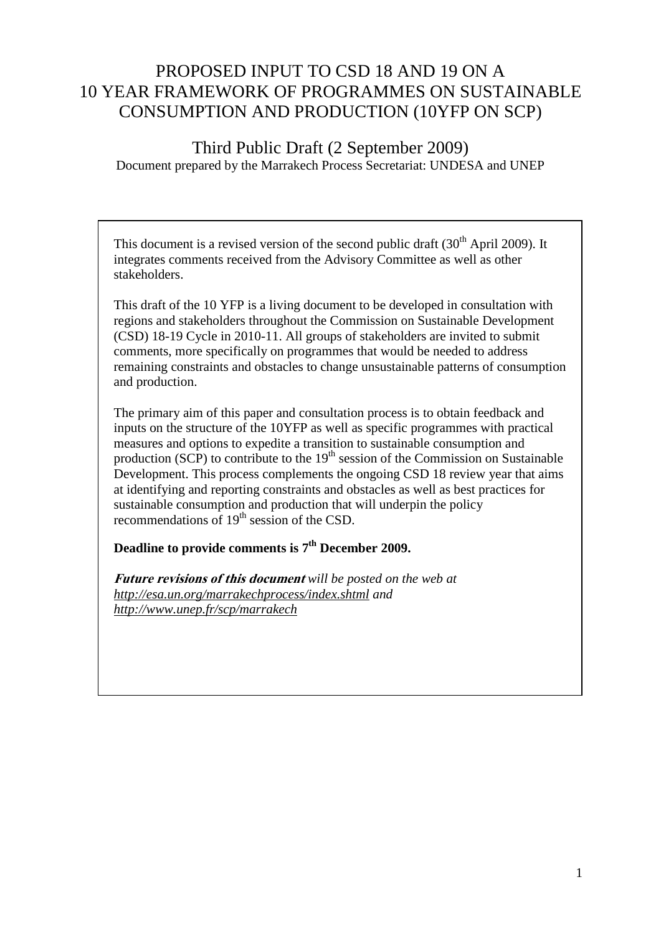# PROPOSED INPUT TO CSD 18 AND 19 ON A 10 YEAR FRAMEWORK OF PROGRAMMES ON SUSTAINABLE CONSUMPTION AND PRODUCTION (10YFP ON SCP)

Third Public Draft (2 September 2009) Document prepared by the Marrakech Process Secretariat: UNDESA and UNEP

This document is a revised version of the second public draft  $(30<sup>th</sup>$  April 2009). It integrates comments received from the Advisory Committee as well as other stakeholders.

This draft of the 10 YFP is a living document to be developed in consultation with regions and stakeholders throughout the Commission on Sustainable Development (CSD) 18-19 Cycle in 2010-11. All groups of stakeholders are invited to submit comments, more specifically on programmes that would be needed to address remaining constraints and obstacles to change unsustainable patterns of consumption and production.

The primary aim of this paper and consultation process is to obtain feedback and inputs on the structure of the 10YFP as well as specific programmes with practical measures and options to expedite a transition to sustainable consumption and production (SCP) to contribute to the  $19<sup>th</sup>$  session of the Commission on Sustainable Development. This process complements the ongoing CSD 18 review year that aims at identifying and reporting constraints and obstacles as well as best practices for sustainable consumption and production that will underpin the policy recommendations of  $19<sup>th</sup>$  session of the CSD.

### **Deadline to provide comments is 7 th December 2009.**

**Future revisions of this document** *will be posted on the web at <http://esa.un.org/marrakechprocess/index.shtml> and <http://www.unep.fr/scp/marrakech>*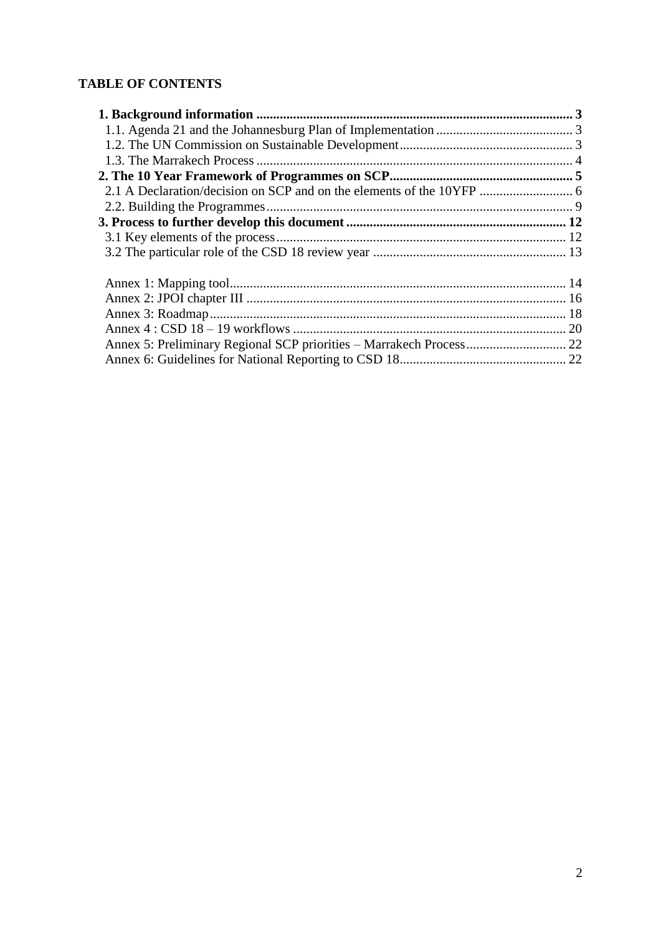## **TABLE OF CONTENTS**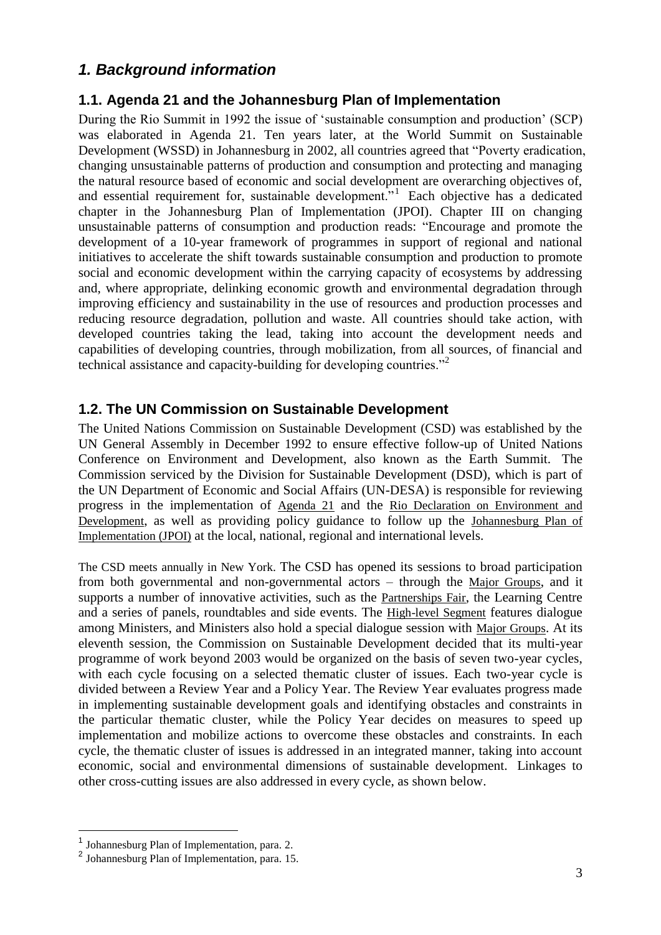## <span id="page-2-0"></span>*1. Background information*

### <span id="page-2-1"></span>**1.1. Agenda 21 and the Johannesburg Plan of Implementation**

During the Rio Summit in 1992 the issue of "sustainable consumption and production" (SCP) was elaborated in Agenda 21. Ten years later, at the World Summit on Sustainable Development (WSSD) in Johannesburg in 2002, all countries agreed that "Poverty eradication, changing unsustainable patterns of production and consumption and protecting and managing the natural resource based of economic and social development are overarching objectives of, and essential requirement for, sustainable development."<sup>1</sup> Each objective has a dedicated chapter in the Johannesburg Plan of Implementation (JPOI). Chapter III on changing unsustainable patterns of consumption and production reads: "Encourage and promote the development of a 10-year framework of programmes in support of regional and national initiatives to accelerate the shift towards sustainable consumption and production to promote social and economic development within the carrying capacity of ecosystems by addressing and, where appropriate, delinking economic growth and environmental degradation through improving efficiency and sustainability in the use of resources and production processes and reducing resource degradation, pollution and waste. All countries should take action, with developed countries taking the lead, taking into account the development needs and capabilities of developing countries, through mobilization, from all sources, of financial and technical assistance and capacity-building for developing countries."<sup>2</sup>

### <span id="page-2-2"></span>**1.2. The UN Commission on Sustainable Development**

The United Nations Commission on Sustainable Development (CSD) was established by the UN General Assembly in December 1992 to ensure effective follow-up of United Nations Conference on Environment and Development, also known as the Earth Summit. The Commission serviced by the Division for Sustainable Development [\(DSD\)](http://www.un.org/esa/dsd/dsd/dsd_index.shtml), which is part of the UN Department of Economic and Social Affairs (UN-DESA) is responsible for reviewing progress in the implementation of [Agenda 21](http://www.un.org/esa/sustdev/documents/agenda21/english/agenda21toc.htm) and the [Rio Declaration on Environment and](http://www.un.org/documents/ga/conf151/aconf15126-1annex1.htm)  [Development](http://www.un.org/documents/ga/conf151/aconf15126-1annex1.htm), as well as providing policy guidance to follow up the [Johannesburg Plan of](http://www.un.org/esa/sustdev/documents/WSSD_POI_PD/English/POIToc.htm)  [Implementation \(JPOI\)](http://www.un.org/esa/sustdev/documents/WSSD_POI_PD/English/POIToc.htm) at the local, national, regional and international levels.

The CSD meets annually in New York. The CSD has opened its sessions to broad participation from both governmental and non-governmental actors – through the [Major Groups](http://www.un.org/esa/sustdev/mgroups/mgroups.htm), and it supports a number of innovative activities, such as the [Partnerships Fair](http://www.un.org/esa/sustdev/partnerships/partnerships_fair.htm), the Learning Centre and a series of panels, roundtables and side events. The [High-level Segment](http://www.un.org/esa/dsd/csd/csd_highlevesegm.shtml) features dialogue among Ministers, and Ministers also hold a special dialogue session with [Major Groups](http://www.un.org/esa/sustdev/mgroups/mgroups.htm). At its eleventh session, the Commission on Sustainable Development decided that its [multi-year](http://www.un.org/esa/dsd/csd/csd_multyearprogwork.shtml)  [programme of work](http://www.un.org/esa/dsd/csd/csd_multyearprogwork.shtml) beyond 2003 would be organized on the basis of seven two-year cycles, with each cycle focusing on a [selected thematic cluster of issues.](http://www.un.org/esa/dsd/csd/csd_multyearprogwork.shtml) Each two-year cycle is divided between a Review Year and a Policy Year. The Review Year evaluates progress made in implementing sustainable development goals and identifying obstacles and constraints in the particular thematic cluster, while the Policy Year decides on measures to speed up implementation and mobilize actions to overcome these obstacles and constraints. In each cycle, the thematic cluster of issues is addressed in an integrated manner, taking into account economic, social and environmental dimensions of sustainable development. Linkages to other cross-cutting issues are also addressed in every cycle, as shown below.

<sup>&</sup>lt;sup>1</sup> Johannesburg Plan of Implementation, para. 2.

<sup>2</sup> Johannesburg Plan of Implementation, para. 15.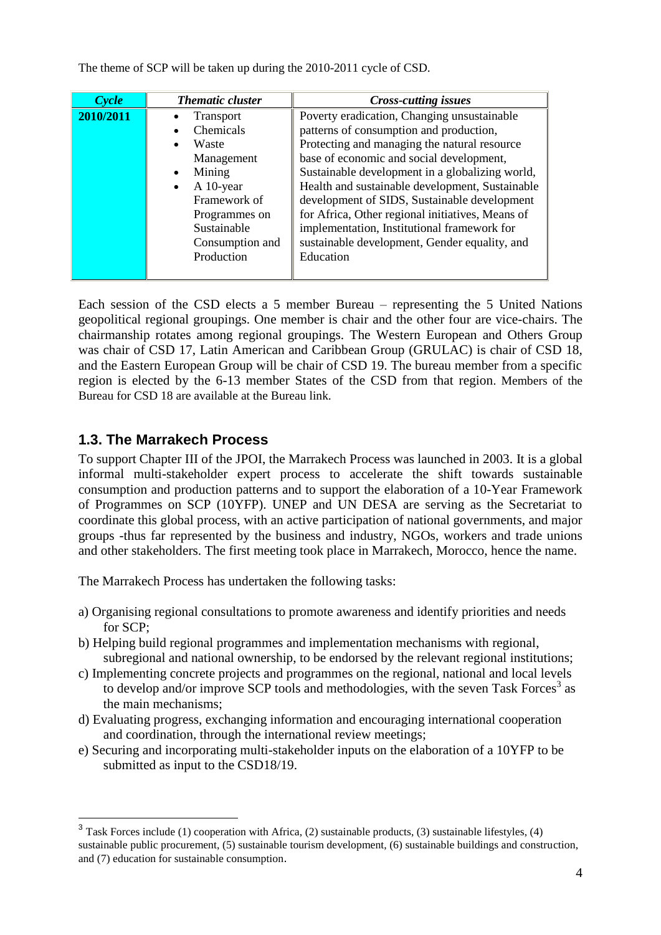The theme of SCP will be taken up during the 2010-2011 cycle of CSD.

| Cycle     | <b>Thematic cluster</b> | <b>Cross-cutting issues</b>                      |
|-----------|-------------------------|--------------------------------------------------|
| 2010/2011 | Transport               | Poverty eradication, Changing unsustainable      |
|           | Chemicals<br>٠          | patterns of consumption and production,          |
|           | Waste<br>$\bullet$      | Protecting and managing the natural resource     |
|           | Management              | base of economic and social development,         |
|           | Mining<br>$\bullet$     | Sustainable development in a globalizing world,  |
|           | A 10-year<br>$\bullet$  | Health and sustainable development, Sustainable  |
|           | Framework of            | development of SIDS, Sustainable development     |
|           | Programmes on           | for Africa, Other regional initiatives, Means of |
|           | Sustainable             | implementation, Institutional framework for      |
|           | Consumption and         | sustainable development, Gender equality, and    |
|           | Production              | Education                                        |
|           |                         |                                                  |

Each session of the CSD elects a 5 member Bureau – representing the 5 [United Nations](http://en.wikipedia.org/wiki/United_Nations) geopolitical regional groupings. One member is chair and the other four are vice-chairs. The chairmanship rotates among regional groupings. The [Western European and Others Group](http://en.wikipedia.org/wiki/Western_European_and_Others_Group) was chair of CSD 17, Latin American and Caribbean Group (GRULAC) is chair of CSD 18, and the Eastern European Group will be chair of CSD 19. The bureau member from a specific region is elected by the 6-13 [member States](http://www.un.org/esa/dsd/csd/csd_csd17_membstat) of the CSD from that region. Members of the Bureau for CSD 18 are available at the Bureau link.

### <span id="page-3-0"></span>**1.3. The Marrakech Process**

 $\overline{a}$ 

To support Chapter III of the JPOI, the Marrakech Process was launched in 2003. It is a global informal multi-stakeholder expert process to accelerate the shift towards sustainable consumption and production patterns and to support the elaboration of a 10-Year Framework of Programmes on SCP (10YFP). UNEP and UN DESA are serving as the Secretariat to coordinate this global process, with an active participation of national governments, and major groups -thus far represented by the business and industry, NGOs, workers and trade unions and other stakeholders. The first meeting took place in Marrakech, Morocco, hence the name.

The Marrakech Process has undertaken the following tasks:

- a) Organising regional consultations to promote awareness and identify priorities and needs for SCP;
- b) Helping build regional programmes and implementation mechanisms with regional, subregional and national ownership, to be endorsed by the relevant regional institutions;
- c) Implementing concrete projects and programmes on the regional, national and local levels to develop and/or improve SCP tools and methodologies, with the seven Task Forces<sup>3</sup> as the main mechanisms;
- d) Evaluating progress, exchanging information and encouraging international cooperation and coordination, through the international review meetings;
- e) Securing and incorporating multi-stakeholder inputs on the elaboration of a 10YFP to be submitted as input to the CSD18/19.

 $3$  Task Forces include (1) cooperation with Africa, (2) sustainable products, (3) sustainable lifestyles, (4) sustainable public procurement, (5) sustainable tourism development, (6) sustainable buildings and construction, and (7) education for sustainable consumption.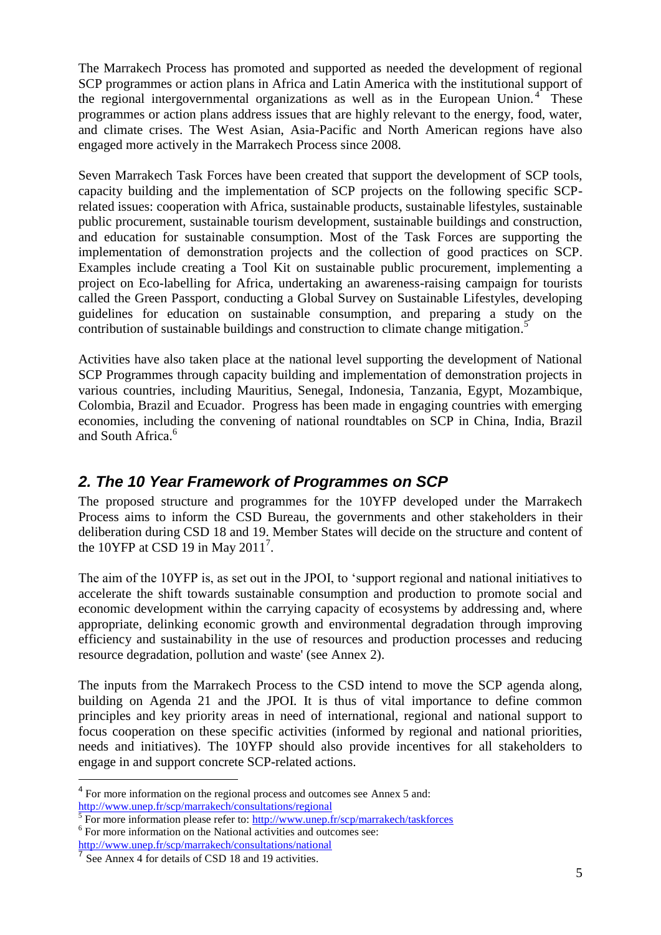The Marrakech Process has promoted and supported as needed the development of regional SCP programmes or action plans in Africa and Latin America with the institutional support of the regional intergovernmental organizations as well as in the European Union.<sup>4</sup> These programmes or action plans address issues that are highly relevant to the energy, food, water, and climate crises. The West Asian, Asia-Pacific and North American regions have also engaged more actively in the Marrakech Process since 2008.

Seven Marrakech Task Forces have been created that support the development of SCP tools, capacity building and the implementation of SCP projects on the following specific SCPrelated issues: cooperation with Africa, sustainable products, sustainable lifestyles, sustainable public procurement, sustainable tourism development, sustainable buildings and construction, and education for sustainable consumption. Most of the Task Forces are supporting the implementation of demonstration projects and the collection of good practices on SCP. Examples include creating a Tool Kit on sustainable public procurement, implementing a project on Eco-labelling for Africa, undertaking an awareness-raising campaign for tourists called the Green Passport, conducting a Global Survey on Sustainable Lifestyles, developing guidelines for education on sustainable consumption, and preparing a study on the contribution of sustainable buildings and construction to climate change mitigation.<sup>5</sup>

Activities have also taken place at the national level supporting the development of National SCP Programmes through capacity building and implementation of demonstration projects in various countries, including Mauritius, Senegal, Indonesia, Tanzania, Egypt, Mozambique, Colombia, Brazil and Ecuador. Progress has been made in engaging countries with emerging economies, including the convening of national roundtables on SCP in China, India, Brazil and South Africa.<sup>6</sup>

## <span id="page-4-0"></span>*2. The 10 Year Framework of Programmes on SCP*

The proposed structure and programmes for the 10YFP developed under the Marrakech Process aims to inform the CSD Bureau, the governments and other stakeholders in their deliberation during CSD 18 and 19. Member States will decide on the structure and content of the 10YFP at CSD 19 in May 2011<sup>7</sup>.

The aim of the 10YFP is, as set out in the JPOI, to "support regional and national initiatives to accelerate the shift towards sustainable consumption and production to promote social and economic development within the carrying capacity of ecosystems by addressing and, where appropriate, delinking economic growth and environmental degradation through improving efficiency and sustainability in the use of resources and production processes and reducing resource degradation, pollution and waste' (see Annex 2).

The inputs from the Marrakech Process to the CSD intend to move the SCP agenda along, building on Agenda 21 and the JPOI. It is thus of vital importance to define common principles and key priority areas in need of international, regional and national support to focus cooperation on these specific activities (informed by regional and national priorities, needs and initiatives). The 10YFP should also provide incentives for all stakeholders to engage in and support concrete SCP-related actions.

 $4$  For more information on the regional process and outcomes see Annex 5 and: <http://www.unep.fr/scp/marrakech/consultations/regional>

<sup>&</sup>lt;sup>5</sup> For more information please refer to:<http://www.unep.fr/scp/marrakech/taskforces>

<sup>6</sup> For more information on the National activities and outcomes see: http://www.unep.fr/scp/marrakech/consultations/national

<sup>7</sup> See Annex 4 for details of CSD 18 and 19 activities.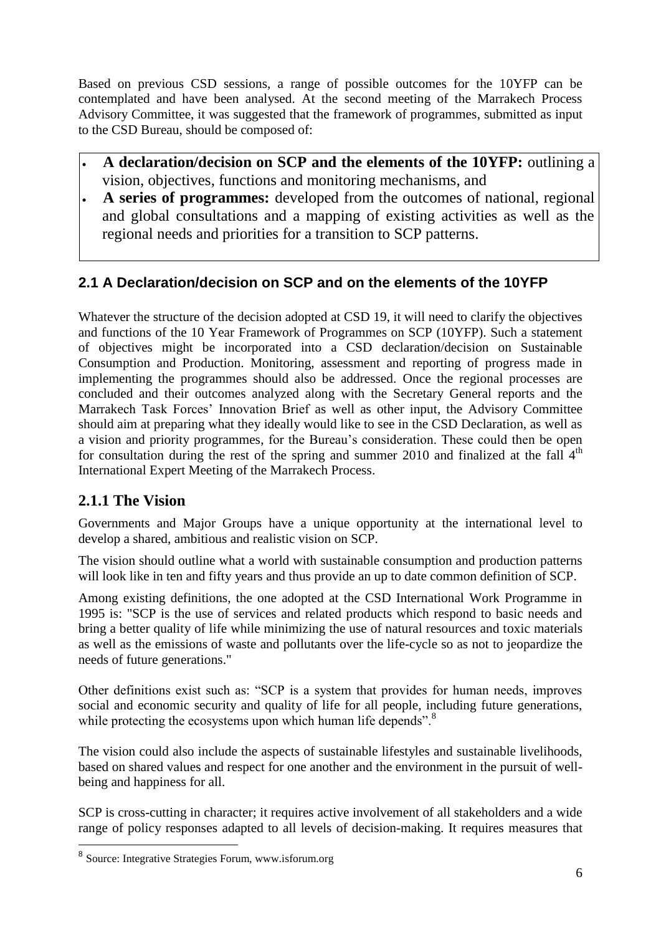Based on previous CSD sessions, a range of possible outcomes for the 10YFP can be contemplated and have been analysed. At the second meeting of the Marrakech Process Advisory Committee, it was suggested that the framework of programmes, submitted as input to the CSD Bureau, should be composed of:

- **A declaration/decision on SCP and the elements of the 10YFP:** outlining a vision, objectives, functions and monitoring mechanisms, and
- **A series of programmes:** developed from the outcomes of national, regional and global consultations and a mapping of existing activities as well as the regional needs and priorities for a transition to SCP patterns.

# <span id="page-5-0"></span>**2.1 A Declaration/decision on SCP and on the elements of the 10YFP**

Whatever the structure of the decision adopted at CSD 19, it will need to clarify the objectives and functions of the 10 Year Framework of Programmes on SCP (10YFP). Such a statement of objectives might be incorporated into a CSD declaration/decision on Sustainable Consumption and Production. Monitoring, assessment and reporting of progress made in implementing the programmes should also be addressed. Once the regional processes are concluded and their outcomes analyzed along with the Secretary General reports and the Marrakech Task Forces" Innovation Brief as well as other input, the Advisory Committee should aim at preparing what they ideally would like to see in the CSD Declaration, as well as a vision and priority programmes, for the Bureau"s consideration. These could then be open for consultation during the rest of the spring and summer 2010 and finalized at the fall  $4<sup>th</sup>$ International Expert Meeting of the Marrakech Process.

## **2.1.1 The Vision**

Governments and Major Groups have a unique opportunity at the international level to develop a shared, ambitious and realistic vision on SCP.

The vision should outline what a world with sustainable consumption and production patterns will look like in ten and fifty years and thus provide an up to date common definition of SCP.

Among existing definitions, the one adopted at the CSD International Work Programme in 1995 is: "SCP is the use of services and related products which respond to basic needs and bring a better quality of life while minimizing the use of natural resources and toxic materials as well as the emissions of waste and pollutants over the life-cycle so as not to jeopardize the needs of future generations."

Other definitions exist such as: "SCP is a system that provides for human needs, improves social and economic security and quality of life for all people, including future generations, while protecting the ecosystems upon which human life depends".<sup>8</sup>

The vision could also include the aspects of sustainable lifestyles and sustainable livelihoods, based on shared values and respect for one another and the environment in the pursuit of wellbeing and happiness for all.

SCP is cross-cutting in character; it requires active involvement of all stakeholders and a wide range of policy responses adapted to all levels of decision-making. It requires measures that

<sup>8&</sup>lt;br><sup>8</sup> Source: Integrative Strategies Forum, www.isforum.org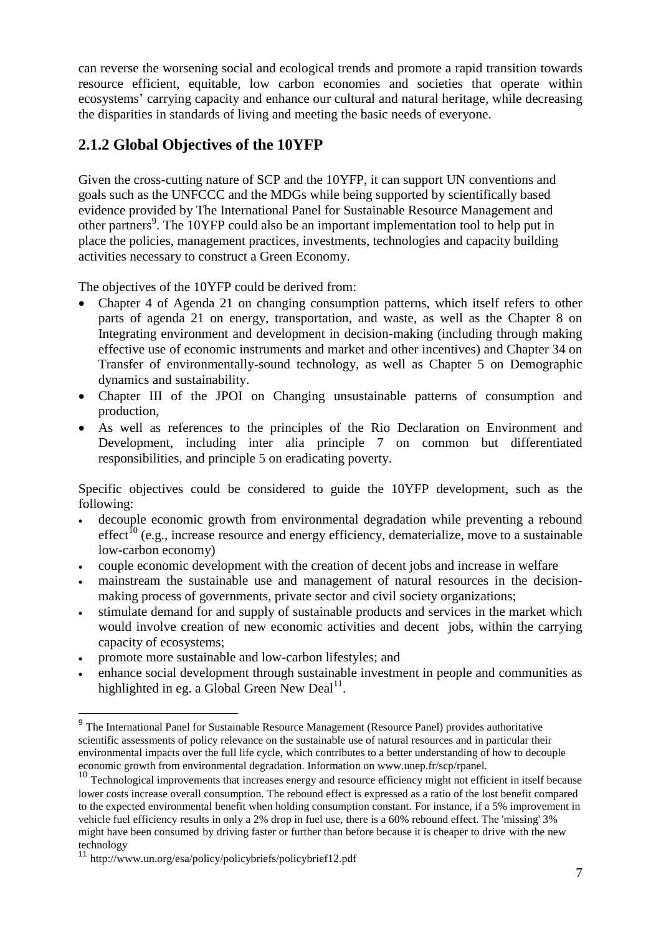can reverse the worsening social and ecological trends and promote a rapid transition towards resource efficient, equitable, low carbon economies and societies that operate within ecosystems" carrying capacity and enhance our cultural and natural heritage, while decreasing the disparities in standards of living and meeting the basic needs of everyone.

# **2.1.2 Global Objectives of the 10YFP**

Given the cross-cutting nature of SCP and the 10YFP, it can support UN conventions and goals such as the UNFCCC and the MDGs while being supported by scientifically based evidence provided by The International Panel for Sustainable Resource Management and other partners<sup>9</sup>. The 10YFP could also be an important implementation tool to help put in place the policies, management practices, investments, technologies and capacity building activities necessary to construct a Green Economy.

The objectives of the 10YFP could be derived from:

- Chapter 4 of Agenda 21 on changing consumption patterns, which itself refers to other parts of agenda 21 on energy, transportation, and waste, as well as the Chapter 8 on Integrating environment and development in decision-making (including through making effective use of economic instruments and market and other incentives) and Chapter 34 on Transfer of environmentally-sound technology, as well as Chapter 5 on Demographic dynamics and sustainability.
- Chapter III of the JPOI on Changing unsustainable patterns of consumption and production,
- As well as references to the principles of the Rio Declaration on Environment and Development, including inter alia principle 7 on common but differentiated responsibilities, and principle 5 on eradicating poverty.

Specific objectives could be considered to guide the 10YFP development, such as the following:

- decouple economic growth from environmental degradation while preventing a rebound  $effect^{10}$  (e.g., increase resource and energy efficiency, dematerialize, move to a sustainable low-carbon economy)
- couple economic development with the creation of decent jobs and increase in welfare
- mainstream the sustainable use and management of natural resources in the decisionmaking process of governments, private sector and civil society organizations;
- stimulate demand for and supply of sustainable products and services in the market which would involve creation of new economic activities and decent jobs, within the carrying capacity of ecosystems;
- promote more sustainable and low-carbon lifestyles; and
- enhance social development through sustainable investment in people and communities as highlighted in eg. a Global [Green New Deal](http://www.un.org/esa/policy/policybriefs/policybrief12.pdf) $^{11}$ .

<sup>&</sup>lt;sup>9</sup> The International Panel for Sustainable Resource Management (Resource Panel) provides authoritative scientific assessments of policy relevance on the sustainable use of natural resources and in particular their environmental impacts over the full life cycle, which contributes to a better understanding of how to decouple economic growth from environmental degradation. Information on www.unep.fr/scp/rpanel.

<sup>&</sup>lt;sup>10</sup> Technological improvements that increases energy and resource efficiency might not efficient in itself because lower costs increase overall consumption. The rebound effect is expressed as a ratio of the lost benefit compared to the expected environmental benefit when holding consumption constant. For instance, if a 5% improvement in vehicle [fuel efficiency](http://en.wikipedia.org/wiki/Fuel_efficiency) results in only a 2% drop in fuel use, there is a 60% rebound effect. The 'missing' 3% might have been consumed by driving faster or further than before because it is cheaper to drive with the new technology

<sup>11</sup> http://www.un.org/esa/policy/policybriefs/policybrief12.pdf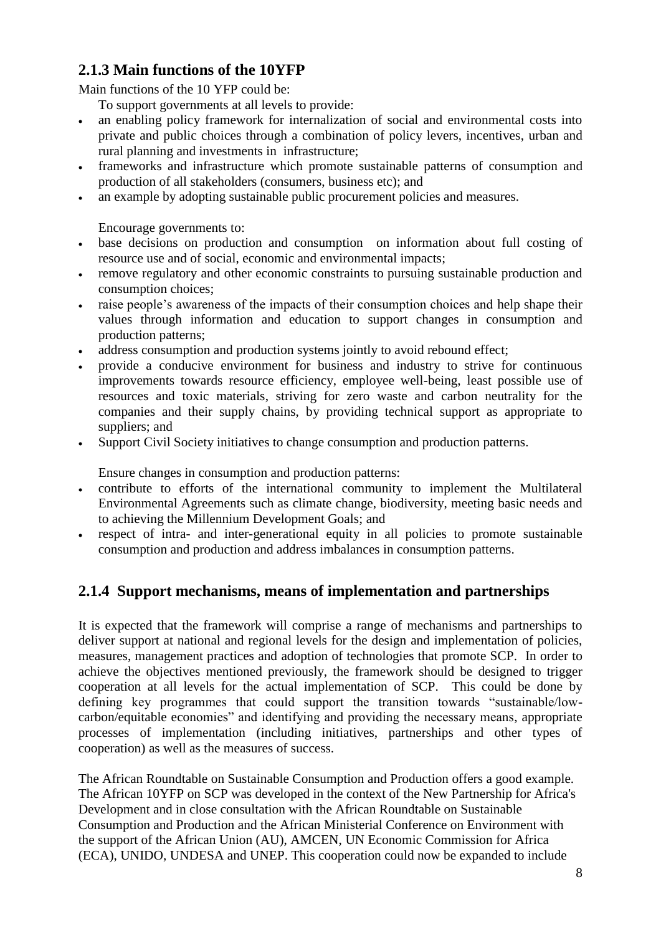## **2.1.3 Main functions of the 10YFP**

Main functions of the 10 YFP could be:

To support governments at all levels to provide:

- an enabling policy framework for internalization of social and environmental costs into private and public choices through a combination of policy levers, incentives, urban and rural planning and investments in infrastructure;
- frameworks and infrastructure which promote sustainable patterns of consumption and production of all stakeholders (consumers, business etc); and
- an example by adopting sustainable public procurement policies and measures.

Encourage governments to:

- base decisions on production and consumption on information about full costing of resource use and of social, economic and environmental impacts;
- remove regulatory and other economic constraints to pursuing sustainable production and consumption choices;
- raise people"s awareness of the impacts of their consumption choices and help shape their values through information and education to support changes in consumption and production patterns;
- address consumption and production systems jointly to avoid rebound effect;
- provide a conducive environment for business and industry to strive for continuous improvements towards resource efficiency, employee well-being, least possible use of resources and toxic materials, striving for zero waste and carbon neutrality for the companies and their supply chains, by providing technical support as appropriate to suppliers; and
- Support Civil Society initiatives to change consumption and production patterns.

Ensure changes in consumption and production patterns:

- contribute to efforts of the international community to implement the Multilateral Environmental Agreements such as climate change, biodiversity, meeting basic needs and to achieving the Millennium Development Goals; and
- respect of intra- and inter-generational equity in all policies to promote sustainable consumption and production and address imbalances in consumption patterns.

## **2.1.4 Support mechanisms, means of implementation and partnerships**

It is expected that the framework will comprise a range of mechanisms and partnerships to deliver support at national and regional levels for the design and implementation of policies, measures, management practices and adoption of technologies that promote SCP. In order to achieve the objectives mentioned previously, the framework should be designed to trigger cooperation at all levels for the actual implementation of SCP. This could be done by defining key programmes that could support the transition towards "sustainable/lowcarbon/equitable economies" and identifying and providing the necessary means, appropriate processes of implementation (including initiatives, partnerships and other types of cooperation) as well as the measures of success.

The African Roundtable on Sustainable Consumption and Production offers a good example. The African 10YFP on SCP was developed in the context of the New Partnership for Africa's Development and in close consultation with the African Roundtable on Sustainable Consumption and Production and the African Ministerial Conference on Environment with the support of the African Union (AU), AMCEN, UN Economic Commission for Africa (ECA), UNIDO, UNDESA and UNEP. This cooperation could now be expanded to include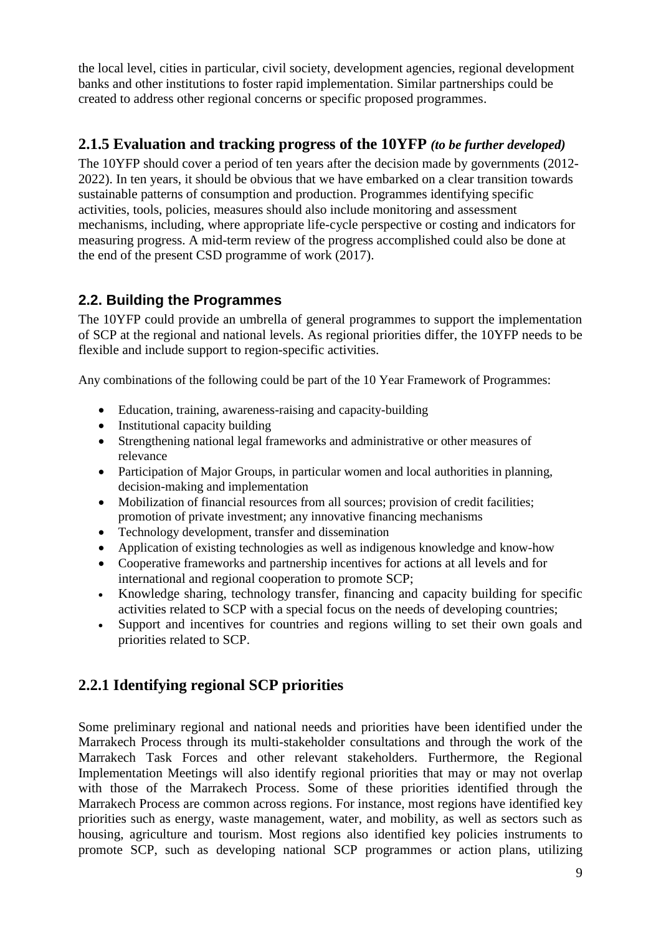the local level, cities in particular, civil society, development agencies, regional development banks and other institutions to foster rapid implementation. Similar partnerships could be created to address other regional concerns or specific proposed programmes.

## **2.1.5 Evaluation and tracking progress of the 10YFP** *(to be further developed)*

The 10YFP should cover a period of ten years after the decision made by governments (2012- 2022). In ten years, it should be obvious that we have embarked on a clear transition towards sustainable patterns of consumption and production. Programmes identifying specific activities, tools, policies, measures should also include monitoring and assessment mechanisms, including, where appropriate life-cycle perspective or costing and indicators for measuring progress. A mid-term review of the progress accomplished could also be done at the end of the present CSD programme of work (2017).

## <span id="page-8-0"></span>**2.2. Building the Programmes**

The 10YFP could provide an umbrella of general programmes to support the implementation of SCP at the regional and national levels. As regional priorities differ, the 10YFP needs to be flexible and include support to region-specific activities.

Any combinations of the following could be part of the 10 Year Framework of Programmes:

- Education, training, awareness-raising and capacity-building
- Institutional capacity building
- Strengthening national legal frameworks and administrative or other measures of relevance
- Participation of Major Groups, in particular women and local authorities in planning, decision-making and implementation
- Mobilization of financial resources from all sources; provision of credit facilities; promotion of private investment; any innovative financing mechanisms
- Technology development, transfer and dissemination
- Application of existing technologies as well as indigenous knowledge and know-how
- Cooperative frameworks and partnership incentives for actions at all levels and for international and regional cooperation to promote SCP;
- Knowledge sharing, technology transfer, financing and capacity building for specific activities related to SCP with a special focus on the needs of developing countries;
- Support and incentives for countries and regions willing to set their own goals and priorities related to SCP.

# **2.2.1 Identifying regional SCP priorities**

Some preliminary regional and national needs and priorities have been identified under the Marrakech Process through its multi-stakeholder consultations and through the work of the Marrakech Task Forces and other relevant stakeholders. Furthermore, the Regional Implementation Meetings will also identify regional priorities that may or may not overlap with those of the Marrakech Process. Some of these priorities identified through the Marrakech Process are common across regions. For instance, most regions have identified key priorities such as energy, waste management, water, and mobility, as well as sectors such as housing, agriculture and tourism. Most regions also identified key policies instruments to promote SCP, such as developing national SCP programmes or action plans, utilizing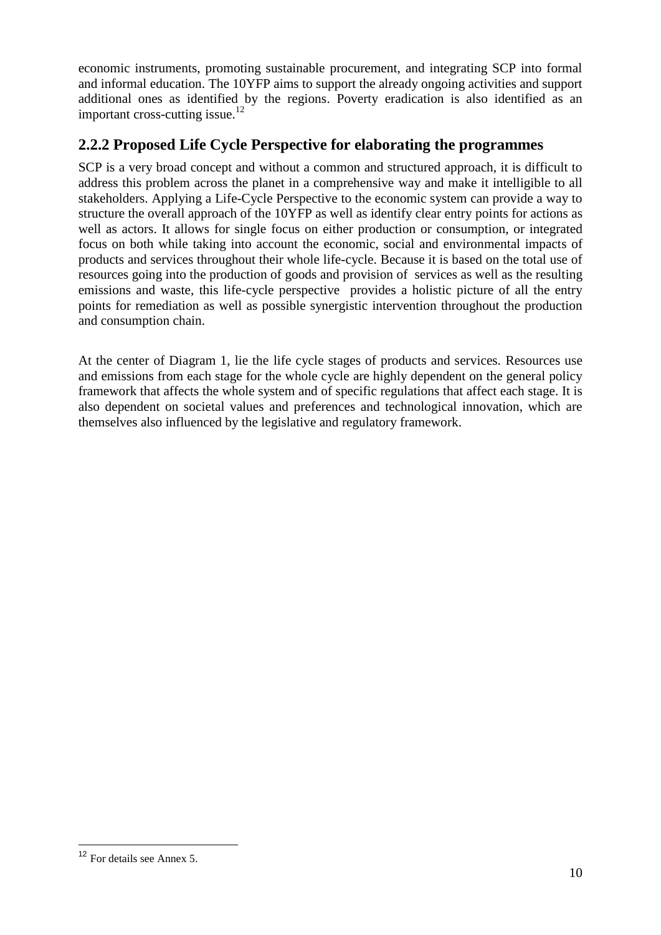economic instruments, promoting sustainable procurement, and integrating SCP into formal and informal education. The 10YFP aims to support the already ongoing activities and support additional ones as identified by the regions. Poverty eradication is also identified as an important cross-cutting issue.<sup>12</sup>

## **2.2.2 Proposed Life Cycle Perspective for elaborating the programmes**

SCP is a very broad concept and without a common and structured approach, it is difficult to address this problem across the planet in a comprehensive way and make it intelligible to all stakeholders. Applying a Life-Cycle Perspective to the economic system can provide a way to structure the overall approach of the 10YFP as well as identify clear entry points for actions as well as actors. It allows for single focus on either production or consumption, or integrated focus on both while taking into account the economic, social and environmental impacts of products and services throughout their whole life-cycle. Because it is based on the total use of resources going into the production of goods and provision of services as well as the resulting emissions and waste, this life-cycle perspective provides a holistic picture of all the entry points for remediation as well as possible synergistic intervention throughout the production and consumption chain.

At the center of Diagram 1, lie the life cycle stages of products and services. Resources use and emissions from each stage for the whole cycle are highly dependent on the general policy framework that affects the whole system and of specific regulations that affect each stage. It is also dependent on societal values and preferences and technological innovation, which are themselves also influenced by the legislative and regulatory framework.

<sup>12</sup> For details see Annex 5.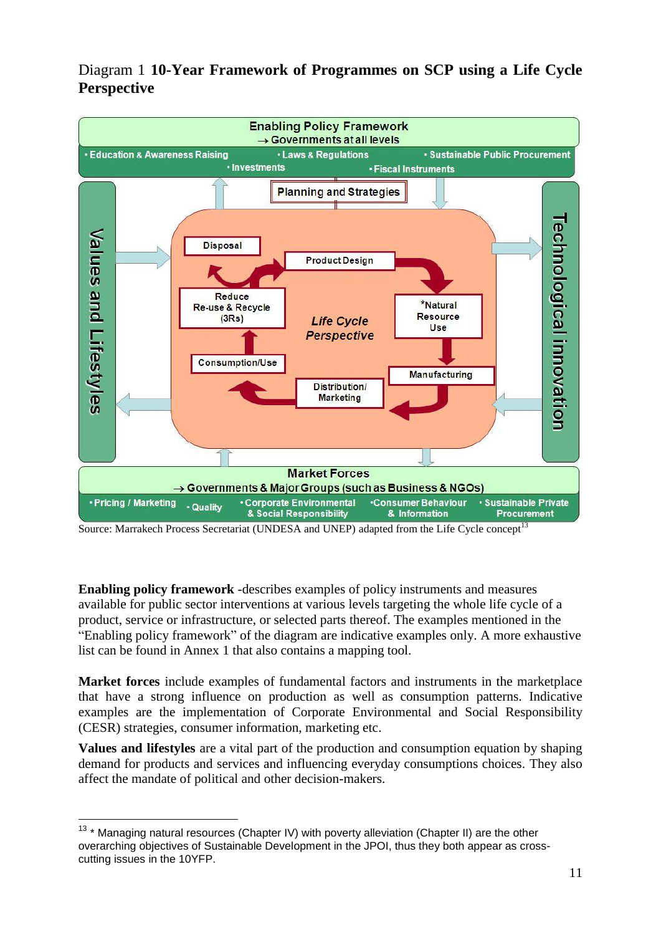



Source: Marrakech Process Secretariat (UNDESA and UNEP) adapted from the Life Cycle concept<sup>13</sup>

**Enabling policy framework** -describes examples of policy instruments and measures available for public sector interventions at various levels targeting the whole life cycle of a product, service or infrastructure, or selected parts thereof. The examples mentioned in the "Enabling policy framework" of the diagram are indicative examples only. A more exhaustive list can be found in Annex 1 that also contains a mapping tool.

**Market forces** include examples of fundamental factors and instruments in the marketplace that have a strong influence on production as well as consumption patterns. Indicative examples are the implementation of Corporate Environmental and Social Responsibility (CESR) strategies, consumer information, marketing etc.

**Values and lifestyles** are a vital part of the production and consumption equation by shaping demand for products and services and influencing everyday consumptions choices. They also affect the mandate of political and other decision-makers.

 $\overline{a}$  $13 *$  Managing natural resources (Chapter IV) with poverty alleviation (Chapter II) are the other overarching objectives of Sustainable Development in the JPOI, thus they both appear as crosscutting issues in the 10YFP.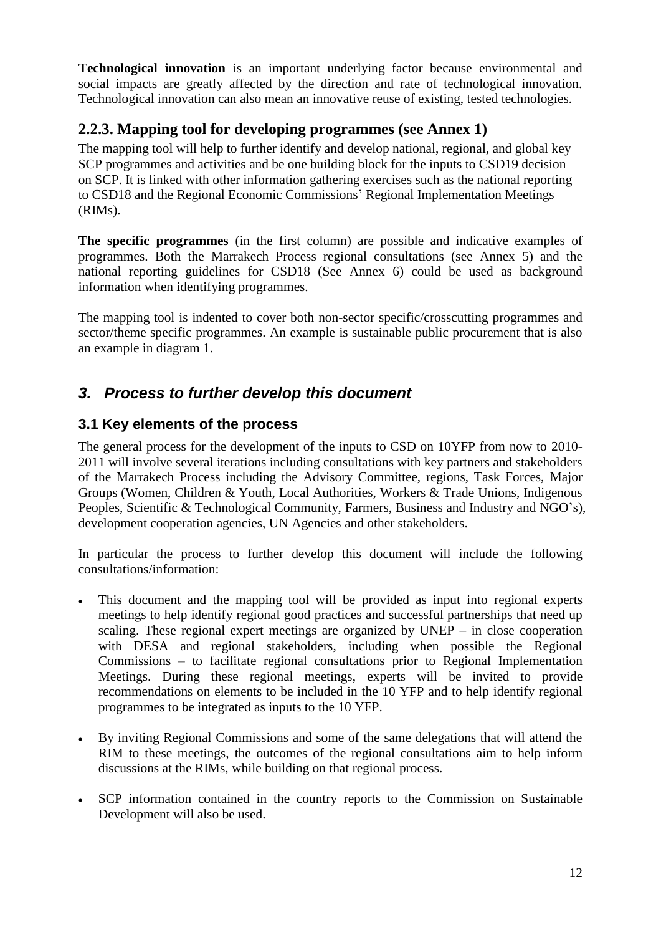**Technological innovation** is an important underlying factor because environmental and social impacts are greatly affected by the direction and rate of technological innovation. Technological innovation can also mean an innovative reuse of existing, tested technologies.

## **2.2.3. Mapping tool for developing programmes (see Annex 1)**

The mapping tool will help to further identify and develop national, regional, and global key SCP programmes and activities and be one building block for the inputs to CSD19 decision on SCP. It is linked with other information gathering exercises such as the national reporting to CSD18 and the Regional Economic Commissions" Regional Implementation Meetings (RIMs).

**The specific programmes** (in the first column) are possible and indicative examples of programmes. Both the Marrakech Process regional consultations (see Annex 5) and the national reporting guidelines for CSD18 (See Annex 6) could be used as background information when identifying programmes.

The mapping tool is indented to cover both non-sector specific/crosscutting programmes and sector/theme specific programmes. An example is sustainable public procurement that is also an example in diagram 1.

# <span id="page-11-0"></span>*3. Process to further develop this document*

### <span id="page-11-1"></span>**3.1 Key elements of the process**

The general process for the development of the inputs to CSD on 10YFP from now to 2010- 2011 will involve several iterations including consultations with key partners and stakeholders of the Marrakech Process including the Advisory Committee, regions, Task Forces, Major Groups (Women, Children & Youth, Local Authorities, Workers & Trade Unions, Indigenous Peoples, Scientific & Technological Community, Farmers, Business and Industry and NGO"s), development cooperation agencies, UN Agencies and other stakeholders.

In particular the process to further develop this document will include the following consultations/information:

- This document and the mapping tool will be provided as input into regional experts meetings to help identify regional good practices and successful partnerships that need up scaling. These regional expert meetings are organized by UNEP – in close cooperation with DESA and regional stakeholders, including when possible the Regional Commissions – to facilitate regional consultations prior to Regional Implementation Meetings. During these regional meetings, experts will be invited to provide recommendations on elements to be included in the 10 YFP and to help identify regional programmes to be integrated as inputs to the 10 YFP.
- By inviting Regional Commissions and some of the same delegations that will attend the RIM to these meetings, the outcomes of the regional consultations aim to help inform discussions at the RIMs, while building on that regional process.
- SCP information contained in the country reports to the Commission on Sustainable Development will also be used.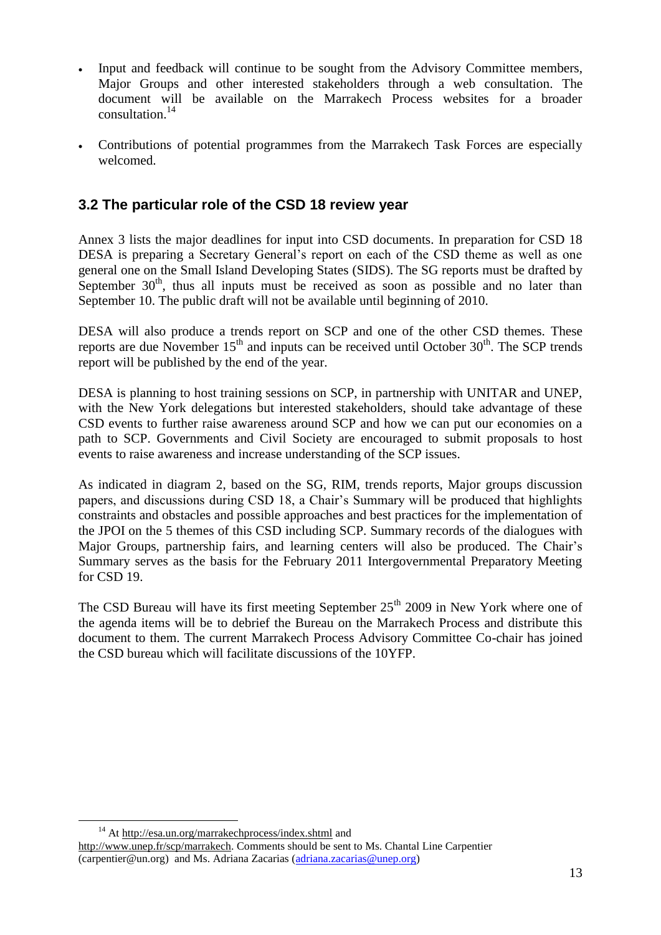- Input and feedback will continue to be sought from the Advisory Committee members, Major Groups and other interested stakeholders through a web consultation. The document will be available on the Marrakech Process websites for a broader consultation. 14
- Contributions of potential programmes from the Marrakech Task Forces are especially welcomed.

## <span id="page-12-0"></span>**3.2 The particular role of the CSD 18 review year**

Annex 3 lists the major deadlines for input into CSD documents. In preparation for CSD 18 DESA is preparing a Secretary General's report on each of the CSD theme as well as one general one on the Small Island Developing States (SIDS). The SG reports must be drafted by September  $30<sup>th</sup>$ , thus all inputs must be received as soon as possible and no later than September 10. The public draft will not be available until beginning of 2010.

DESA will also produce a trends report on SCP and one of the other CSD themes. These reports are due November  $15<sup>th</sup>$  and inputs can be received until October  $30<sup>th</sup>$ . The SCP trends report will be published by the end of the year.

DESA is planning to host training sessions on SCP, in partnership with UNITAR and UNEP, with the New York delegations but interested stakeholders, should take advantage of these CSD events to further raise awareness around SCP and how we can put our economies on a path to SCP. Governments and Civil Society are encouraged to submit proposals to host events to raise awareness and increase understanding of the SCP issues.

As indicated in diagram 2, based on the SG, RIM, trends reports, Major groups discussion papers, and discussions during CSD 18, a Chair"s Summary will be produced that highlights constraints and obstacles and possible approaches and best practices for the implementation of the JPOI on the 5 themes of this CSD including SCP. Summary records of the dialogues with Major Groups, partnership fairs, and learning centers will also be produced. The Chair"s Summary serves as the basis for the February 2011 Intergovernmental Preparatory Meeting for CSD 19.

<span id="page-12-1"></span>The CSD Bureau will have its first meeting September  $25<sup>th</sup>$  2009 in New York where one of the agenda items will be to debrief the Bureau on the Marrakech Process and distribute this document to them. The current Marrakech Process Advisory Committee Co-chair has joined the CSD bureau which will facilitate discussions of the 10YFP.

<sup>&</sup>lt;sup>14</sup> At<http://esa.un.org/marrakechprocess/index.shtml> and [http://www.unep.fr/scp/marrakech.](http://www.unep.fr/scp/marrakech) Comments should be sent to Ms. Chantal Line Carpentier [\(carpentier@un.org\)](mailto:carpentier@un.org) and Ms. Adriana Zacarias [\(adriana.zacarias@unep.org\)](mailto:adriana.zacarias@unep.org)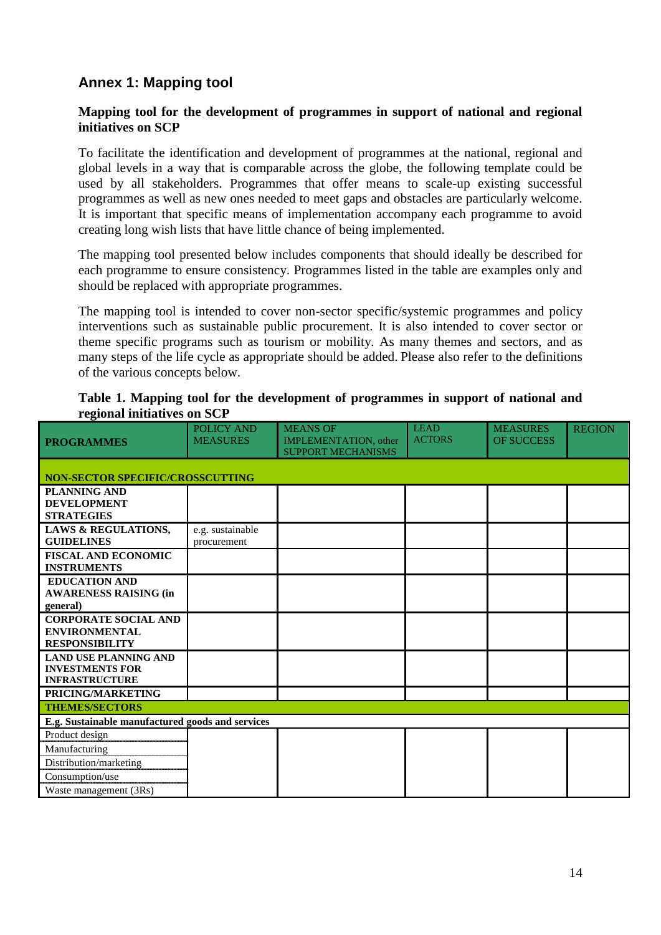## **Annex 1: Mapping tool**

### **Mapping tool for the development of programmes in support of national and regional initiatives on SCP**

To facilitate the identification and development of programmes at the national, regional and global levels in a way that is comparable across the globe, the following template could be used by all stakeholders. Programmes that offer means to scale-up existing successful programmes as well as new ones needed to meet gaps and obstacles are particularly welcome. It is important that specific means of implementation accompany each programme to avoid creating long wish lists that have little chance of being implemented.

The mapping tool presented below includes components that should ideally be described for each programme to ensure consistency. Programmes listed in the table are examples only and should be replaced with appropriate programmes.

The mapping tool is intended to cover non-sector specific/systemic programmes and policy interventions such as sustainable public procurement. It is also intended to cover sector or theme specific programs such as tourism or mobility. As many themes and sectors, and as many steps of the life cycle as appropriate should be added. Please also refer to the definitions of the various concepts below.

| <b>PROGRAMMES</b>                                                               | <b>POLICY AND</b><br><b>MEASURES</b> | <b>MEANS OF</b><br><b>IMPLEMENTATION</b> , other<br><b>SUPPORT MECHANISMS</b> | <b>LEAD</b><br><b>ACTORS</b> | <b>MEASURES</b><br><b>OF SUCCESS</b> | <b>REGION</b> |
|---------------------------------------------------------------------------------|--------------------------------------|-------------------------------------------------------------------------------|------------------------------|--------------------------------------|---------------|
| <b>NON-SECTOR SPECIFIC/CROSSCUTTING</b>                                         |                                      |                                                                               |                              |                                      |               |
| <b>PLANNING AND</b><br><b>DEVELOPMENT</b><br><b>STRATEGIES</b>                  |                                      |                                                                               |                              |                                      |               |
| <b>LAWS &amp; REGULATIONS,</b><br><b>GUIDELINES</b>                             | e.g. sustainable<br>procurement      |                                                                               |                              |                                      |               |
| <b>FISCAL AND ECONOMIC</b><br><b>INSTRUMENTS</b>                                |                                      |                                                                               |                              |                                      |               |
| <b>EDUCATION AND</b><br><b>AWARENESS RAISING (in</b><br>general)                |                                      |                                                                               |                              |                                      |               |
| <b>CORPORATE SOCIAL AND</b><br><b>ENVIRONMENTAL</b><br><b>RESPONSIBILITY</b>    |                                      |                                                                               |                              |                                      |               |
| <b>LAND USE PLANNING AND</b><br><b>INVESTMENTS FOR</b><br><b>INFRASTRUCTURE</b> |                                      |                                                                               |                              |                                      |               |
| PRICING/MARKETING<br><b>THEMES/SECTORS</b>                                      |                                      |                                                                               |                              |                                      |               |
| E.g. Sustainable manufactured goods and services                                |                                      |                                                                               |                              |                                      |               |
| Product design<br>Manufacturing<br>Distribution/marketing                       |                                      |                                                                               |                              |                                      |               |
| Consumption/use<br>Waste management (3Rs)                                       |                                      |                                                                               |                              |                                      |               |

| Table 1. Mapping tool for the development of programmes in support of national and |  |  |  |
|------------------------------------------------------------------------------------|--|--|--|
| regional initiatives on SCP                                                        |  |  |  |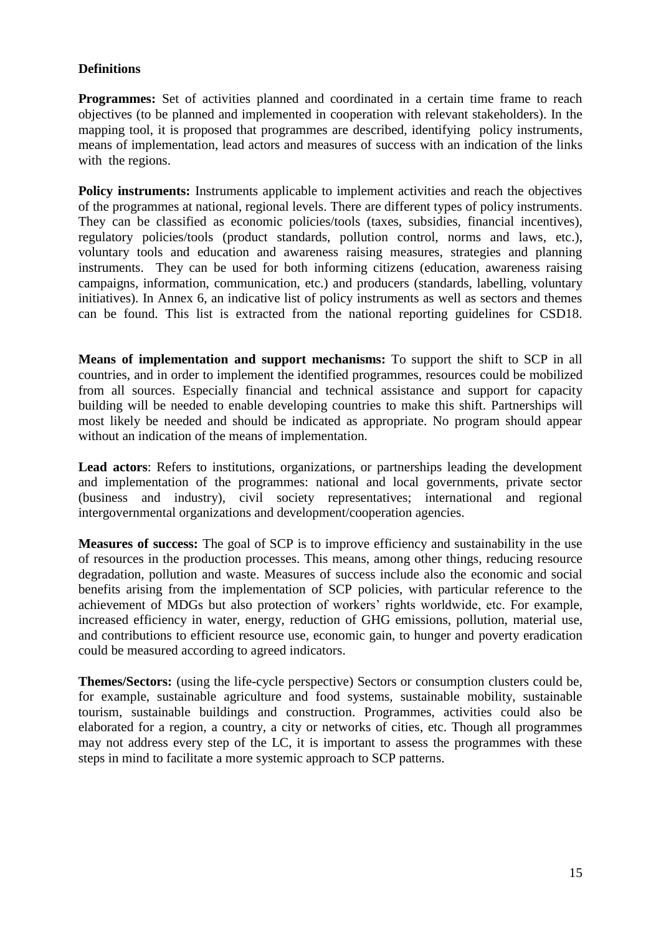#### **Definitions**

**Programmes:** Set of activities planned and coordinated in a certain time frame to reach objectives (to be planned and implemented in cooperation with relevant stakeholders). In the mapping tool, it is proposed that programmes are described, identifying policy instruments, means of implementation, lead actors and measures of success with an indication of the links with the regions.

**Policy instruments:** Instruments applicable to implement activities and reach the objectives of the programmes at national, regional levels. There are different types of policy instruments. They can be classified as economic policies/tools (taxes, subsidies, financial incentives), regulatory policies/tools (product standards, pollution control, norms and laws, etc.), voluntary tools and education and awareness raising measures, strategies and planning instruments. They can be used for both informing citizens (education, awareness raising campaigns, information, communication, etc.) and producers (standards, labelling, voluntary initiatives). In Annex 6, an indicative list of policy instruments as well as sectors and themes can be found. This list is extracted from the national reporting guidelines for CSD18.

**Means of implementation and support mechanisms:** To support the shift to SCP in all countries, and in order to implement the identified programmes, resources could be mobilized from all sources. Especially financial and technical assistance and support for capacity building will be needed to enable developing countries to make this shift. Partnerships will most likely be needed and should be indicated as appropriate. No program should appear without an indication of the means of implementation.

**Lead actors**: Refers to institutions, organizations, or partnerships leading the development and implementation of the programmes: national and local governments, private sector (business and industry), civil society representatives; international and regional intergovernmental organizations and development/cooperation agencies.

**Measures of success:** The goal of SCP is to improve efficiency and sustainability in the use of resources in the production processes. This means, among other things, reducing resource degradation, pollution and waste. Measures of success include also the economic and social benefits arising from the implementation of SCP policies, with particular reference to the achievement of MDGs but also protection of workers" rights worldwide, etc. For example, increased efficiency in water, energy, reduction of GHG emissions, pollution, material use, and contributions to efficient resource use, economic gain, to hunger and poverty eradication could be measured according to agreed indicators.

**Themes/Sectors:** (using the life-cycle perspective) Sectors or consumption clusters could be, for example, sustainable agriculture and food systems, sustainable mobility, sustainable tourism, sustainable buildings and construction. Programmes, activities could also be elaborated for a region, a country, a city or networks of cities, etc. Though all programmes may not address every step of the LC, it is important to assess the programmes with these steps in mind to facilitate a more systemic approach to SCP patterns.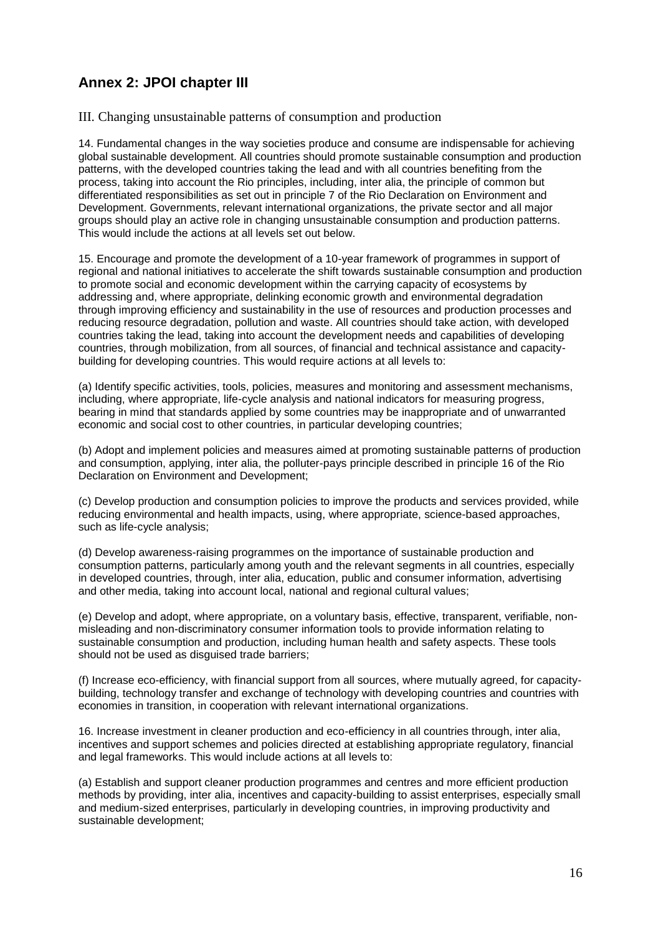## <span id="page-15-0"></span>**Annex 2: JPOI chapter III**

III. Changing unsustainable patterns of consumption and production

14. Fundamental changes in the way societies produce and consume are indispensable for achieving global sustainable development. All countries should promote sustainable consumption and production patterns, with the developed countries taking the lead and with all countries benefiting from the process, taking into account the Rio principles, including, inter alia, the principle of common but differentiated responsibilities as set out in principle 7 of the Rio Declaration on Environment and Development. Governments, relevant international organizations, the private sector and all major groups should play an active role in changing unsustainable consumption and production patterns. This would include the actions at all levels set out below.

15. Encourage and promote the development of a 10-year framework of programmes in support of regional and national initiatives to accelerate the shift towards sustainable consumption and production to promote social and economic development within the carrying capacity of ecosystems by addressing and, where appropriate, delinking economic growth and environmental degradation through improving efficiency and sustainability in the use of resources and production processes and reducing resource degradation, pollution and waste. All countries should take action, with developed countries taking the lead, taking into account the development needs and capabilities of developing countries, through mobilization, from all sources, of financial and technical assistance and capacitybuilding for developing countries. This would require actions at all levels to:

(a) Identify specific activities, tools, policies, measures and monitoring and assessment mechanisms, including, where appropriate, life-cycle analysis and national indicators for measuring progress, bearing in mind that standards applied by some countries may be inappropriate and of unwarranted economic and social cost to other countries, in particular developing countries;

(b) Adopt and implement policies and measures aimed at promoting sustainable patterns of production and consumption, applying, inter alia, the polluter-pays principle described in principle 16 of the Rio Declaration on Environment and Development;

(c) Develop production and consumption policies to improve the products and services provided, while reducing environmental and health impacts, using, where appropriate, science-based approaches, such as life-cycle analysis;

(d) Develop awareness-raising programmes on the importance of sustainable production and consumption patterns, particularly among youth and the relevant segments in all countries, especially in developed countries, through, inter alia, education, public and consumer information, advertising and other media, taking into account local, national and regional cultural values;

(e) Develop and adopt, where appropriate, on a voluntary basis, effective, transparent, verifiable, nonmisleading and non-discriminatory consumer information tools to provide information relating to sustainable consumption and production, including human health and safety aspects. These tools should not be used as disguised trade barriers;

(f) Increase eco-efficiency, with financial support from all sources, where mutually agreed, for capacitybuilding, technology transfer and exchange of technology with developing countries and countries with economies in transition, in cooperation with relevant international organizations.

16. Increase investment in cleaner production and eco-efficiency in all countries through, inter alia, incentives and support schemes and policies directed at establishing appropriate regulatory, financial and legal frameworks. This would include actions at all levels to:

(a) Establish and support cleaner production programmes and centres and more efficient production methods by providing, inter alia, incentives and capacity-building to assist enterprises, especially small and medium-sized enterprises, particularly in developing countries, in improving productivity and sustainable development;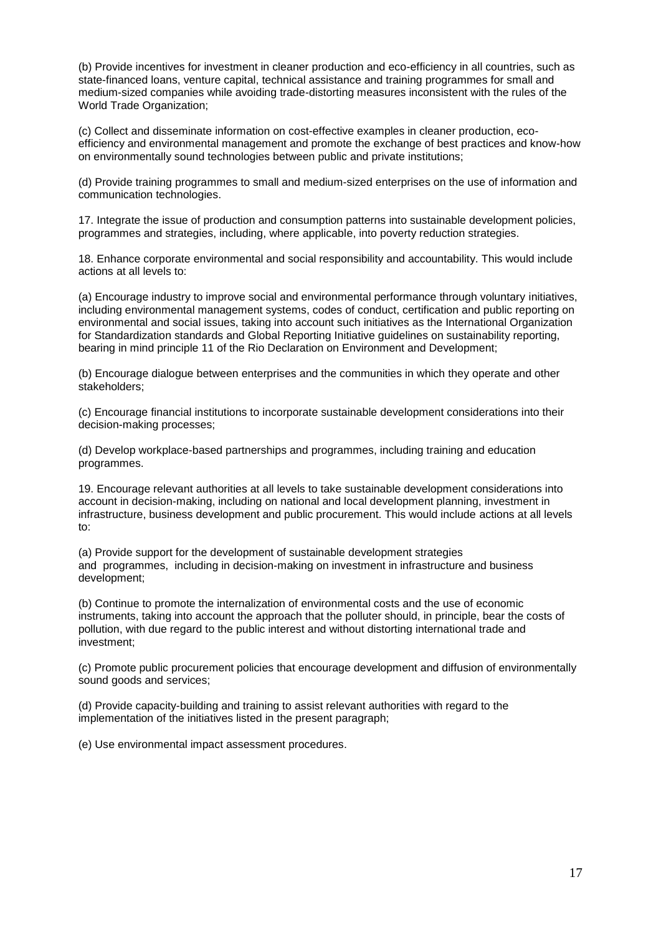(b) Provide incentives for investment in cleaner production and eco-efficiency in all countries, such as state-financed loans, venture capital, technical assistance and training programmes for small and medium-sized companies while avoiding trade-distorting measures inconsistent with the rules of the World Trade Organization;

(c) Collect and disseminate information on cost-effective examples in cleaner production, ecoefficiency and environmental management and promote the exchange of best practices and know-how on environmentally sound technologies between public and private institutions;

(d) Provide training programmes to small and medium-sized enterprises on the use of information and communication technologies.

17. Integrate the issue of production and consumption patterns into sustainable development policies, programmes and strategies, including, where applicable, into poverty reduction strategies.

18. Enhance corporate environmental and social responsibility and accountability. This would include actions at all levels to:

(a) Encourage industry to improve social and environmental performance through voluntary initiatives, including environmental management systems, codes of conduct, certification and public reporting on environmental and social issues, taking into account such initiatives as the International Organization for Standardization standards and Global Reporting Initiative guidelines on sustainability reporting, bearing in mind principle 11 of the Rio Declaration on Environment and Development;

(b) Encourage dialogue between enterprises and the communities in which they operate and other stakeholders;

(c) Encourage financial institutions to incorporate sustainable development considerations into their decision-making processes;

(d) Develop workplace-based partnerships and programmes, including training and education programmes.

19. Encourage relevant authorities at all levels to take sustainable development considerations into account in decision-making, including on national and local development planning, investment in infrastructure, business development and public procurement. This would include actions at all levels to:

(a) Provide support for the development of sustainable development strategies and programmes, including in decision-making on investment in infrastructure and business development;

(b) Continue to promote the internalization of environmental costs and the use of economic instruments, taking into account the approach that the polluter should, in principle, bear the costs of pollution, with due regard to the public interest and without distorting international trade and investment;

(c) Promote public procurement policies that encourage development and diffusion of environmentally sound goods and services;

(d) Provide capacity-building and training to assist relevant authorities with regard to the implementation of the initiatives listed in the present paragraph;

(e) Use environmental impact assessment procedures.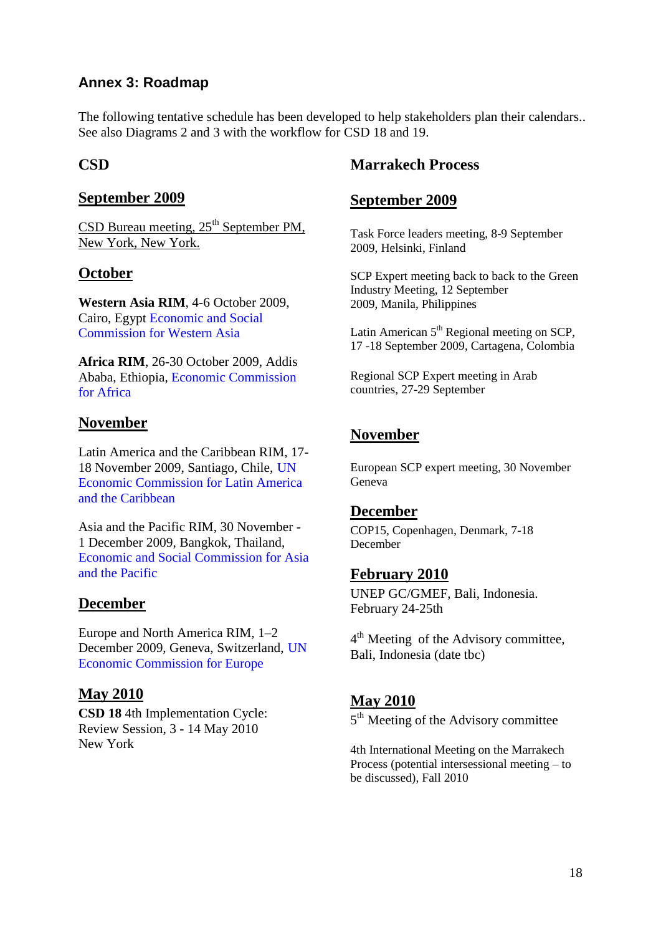### <span id="page-17-0"></span>**Annex 3: Roadmap**

The following tentative schedule has been developed to help stakeholders plan their calendars.. See also Diagrams 2 and 3 with the workflow for CSD 18 and 19.

### **CSD**

### **September 2009**

CSD Bureau meeting,  $25<sup>th</sup>$  September PM, New York, New York.

### **October**

**Western Asia RIM**, 4-6 October 2009, Cairo, Egypt [Economic and Social](http://www.escwa.un.org/)  [Commission for Western Asia](http://www.escwa.un.org/)

**Africa RIM**, 26-30 October 2009, Addis Ababa, Ethiopia, [Economic Commission](http://www.uneca.org/)  [for Africa](http://www.uneca.org/) 

### **November**

Latin America and the Caribbean RIM, 17- 18 November 2009, Santiago, Chile, [UN](http://www.eclac.cl/)  [Economic Commission for Latin America](http://www.eclac.cl/)  [and the Caribbean](http://www.eclac.cl/)

Asia and the Pacific RIM, 30 November - 1 December 2009, Bangkok, Thailand, [Economic and Social Commission for Asia](http://www.unescap.org/)  [and the Pacific](http://www.unescap.org/)

### **December**

Europe and North America RIM, 1–2 December 2009, Geneva, Switzerland, [UN](http://www.unece.org/)  [Economic Commission for Europe](http://www.unece.org/)

### **May 2010**

**CSD 18** 4th Implementation Cycle: Review Session, 3 - 14 May 2010 New York

### **Marrakech Process**

### **September 2009**

Task Force leaders meeting, 8-9 September 2009, Helsinki, Finland

SCP Expert meeting back to back to the Green Industry Meeting, 12 September 2009, Manila, Philippines

Latin American  $5<sup>th</sup>$  Regional meeting on SCP, 17 -18 September 2009, Cartagena, Colombia

Regional SCP Expert meeting in Arab countries, 27-29 September

### **November**

European SCP expert meeting, 30 November Geneva

### **December**

COP15, Copenhagen, Denmark, 7-18 December

### **February 2010**

UNEP GC/GMEF, Bali, Indonesia. February 24-25th

4<sup>th</sup> Meeting of the Advisory committee, Bali, Indonesia (date tbc)

### **May 2010**

5<sup>th</sup> Meeting of the Advisory committee

4th International Meeting on the Marrakech Process (potential intersessional meeting – to be discussed), Fall 2010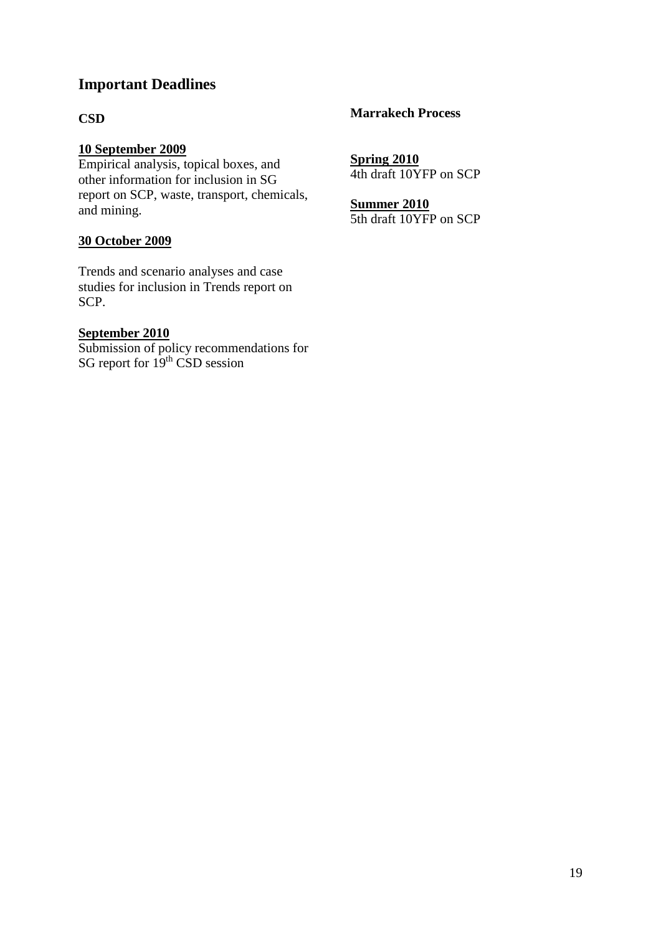### **Important Deadlines**

### **CSD**

### **10 September 2009**

Empirical analysis, topical boxes, and other information for inclusion in SG report on SCP, waste, transport, chemicals, and mining.

### **30 October 2009**

Trends and scenario analyses and case studies for inclusion in Trends report on SCP.

### **September 2010**

Submission of policy recommendations for SG report for  $19<sup>th</sup>$  CSD session

#### **Marrakech Process**

**Spring 2010** 4th draft 10YFP on SCP

**Summer 2010** 5th draft 10YFP on SCP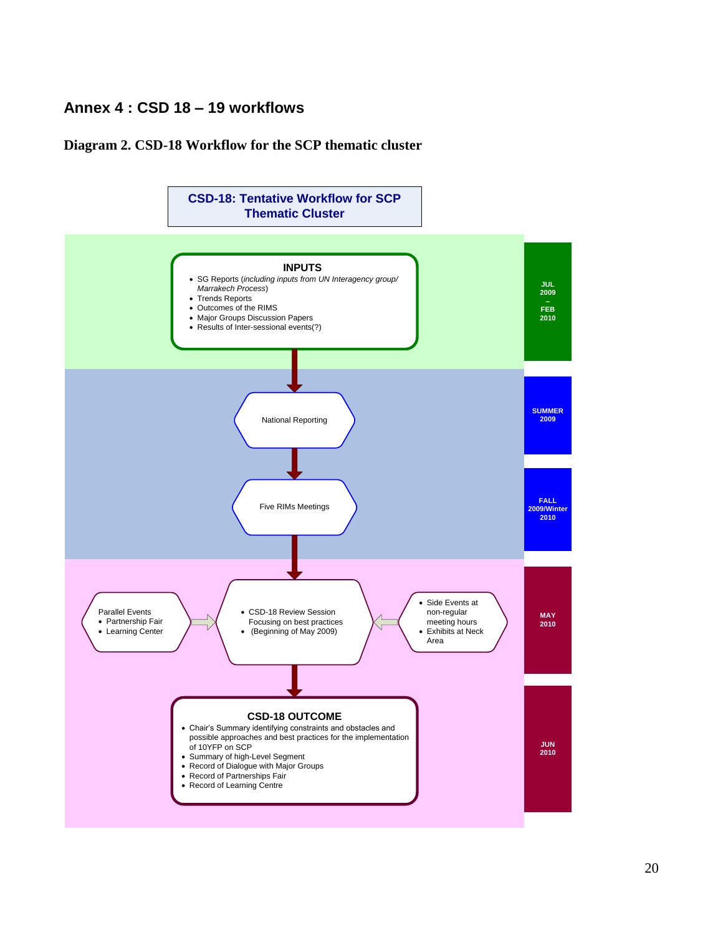### **Annex 4 : CSD 18 – 19 workflows**

#### <span id="page-19-0"></span>**Diagram 2. CSD-18 Workflow for the SCP thematic cluster**

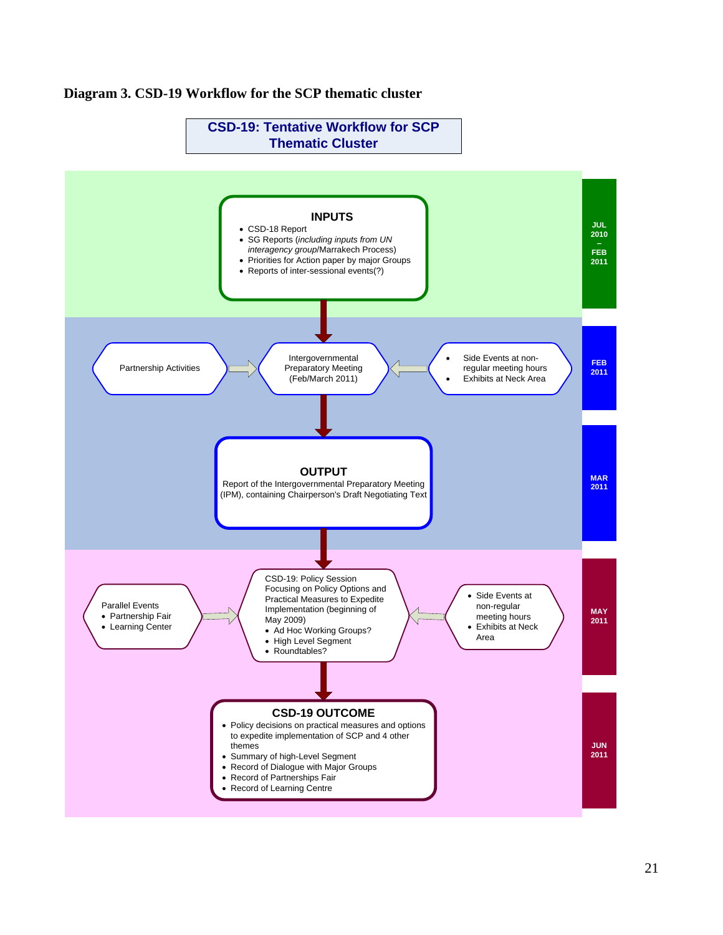

#### **Diagram 3. CSD-19 Workflow for the SCP thematic cluster**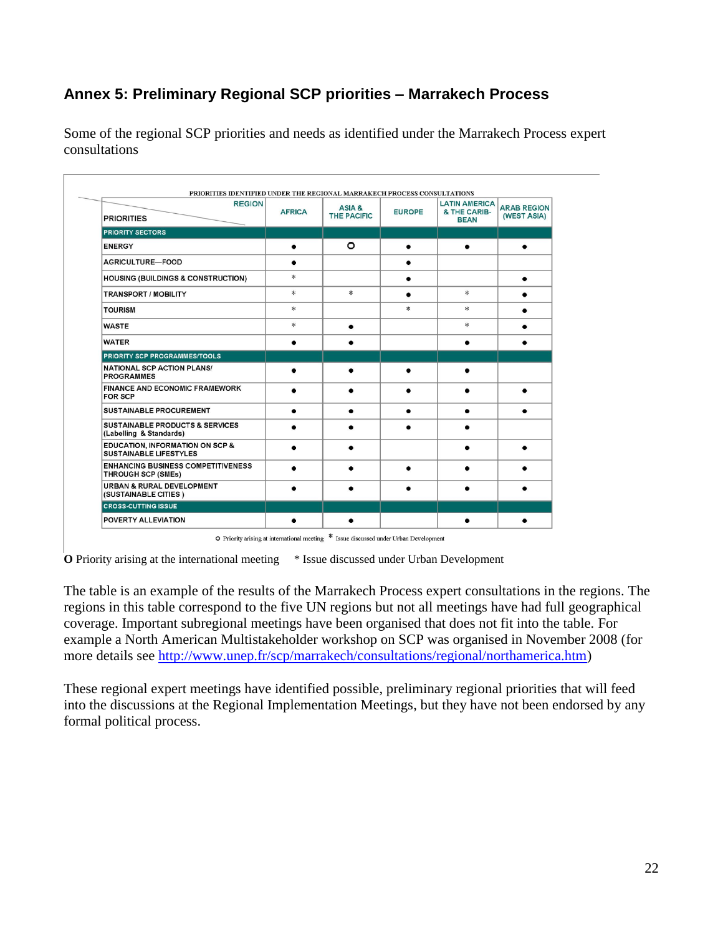## **Annex 5: Preliminary Regional SCP priorities – Marrakech Process**

<span id="page-21-0"></span>Some of the regional SCP priorities and needs as identified under the Marrakech Process expert consultations

| <b>REGION</b><br><b>PRIORITIES</b>                                     | <b>AFRICA</b> | ASIA &<br><b>THE PACIFIC</b> | <b>EUROPE</b> | <b>LATIN AMERICA</b><br>& THE CARIB-<br><b>BEAN</b> | <b>ARAB REGION</b><br>(WEST ASIA) |
|------------------------------------------------------------------------|---------------|------------------------------|---------------|-----------------------------------------------------|-----------------------------------|
| <b>PRIORITY SECTORS</b>                                                |               |                              |               |                                                     |                                   |
| <b>ENERGY</b>                                                          | ٠             | $\circ$                      | $\bullet$     | ٠                                                   | ٠                                 |
| AGRICULTURE-FOOD                                                       | ٠             |                              | ٠             |                                                     |                                   |
| <b>HOUSING (BUILDINGS &amp; CONSTRUCTION)</b>                          | *             |                              | $\bullet$     |                                                     |                                   |
| <b>TRANSPORT / MOBILITY</b>                                            | *             | *                            | $\bullet$     | $\ast$                                              |                                   |
| <b>TOURISM</b>                                                         | *             |                              | *             | *                                                   |                                   |
| <b>WASTE</b>                                                           | *             | $\bullet$                    |               | $*$                                                 |                                   |
| <b>WATER</b>                                                           | ٠             | ٠                            |               | ٠                                                   | ٠                                 |
| <b>PRIORITY SCP PROGRAMMES/TOOLS</b>                                   |               |                              |               |                                                     |                                   |
| <b>NATIONAL SCP ACTION PLANS/</b><br><b>PROGRAMMES</b>                 |               |                              |               |                                                     |                                   |
| <b>FINANCE AND ECONOMIC FRAMEWORK</b><br><b>FOR SCP</b>                | $\bullet$     |                              | $\bullet$     | $\bullet$                                           |                                   |
| <b>SUSTAINABLE PROCUREMENT</b>                                         | ٠             | ٠                            |               | $\bullet$                                           | ٠                                 |
| <b>SUSTAINABLE PRODUCTS &amp; SERVICES</b><br>(Labelling & Standards)  |               |                              |               |                                                     |                                   |
| EDUCATION, INFORMATION ON SCP &<br><b>SUSTAINABLE LIFESTYLES</b>       |               |                              |               |                                                     |                                   |
| <b>ENHANCING BUSINESS COMPETITIVENESS</b><br><b>THROUGH SCP (SMEs)</b> |               |                              |               |                                                     |                                   |
| <b>URBAN &amp; RURAL DEVELOPMENT</b><br>(SUSTAINABLE CITIES)           |               |                              |               |                                                     |                                   |
| <b>CROSS-CUTTING ISSUE</b>                                             |               |                              |               |                                                     |                                   |
| POVERTY ALLEVIATION                                                    |               | ٠                            |               |                                                     |                                   |

O Priority arising at international meeting \* Issue discussed under Urban Development

**O** Priority arising at the international meeting \* Issue discussed under Urban Development

The table is an example of the results of the Marrakech Process expert consultations in the regions. The regions in this table correspond to the five UN regions but not all meetings have had full geographical coverage. Important subregional meetings have been organised that does not fit into the table. For example a North American Multistakeholder workshop on SCP was organised in November 2008 (for more details see [http://www.unep.fr/scp/marrakech/consultations/regional/northamerica.htm\)](http://www.unep.fr/scp/marrakech/consultations/regional/northamerica.htm)

<span id="page-21-1"></span>These regional expert meetings have identified possible, preliminary regional priorities that will feed into the discussions at the Regional Implementation Meetings, but they have not been endorsed by any formal political process.